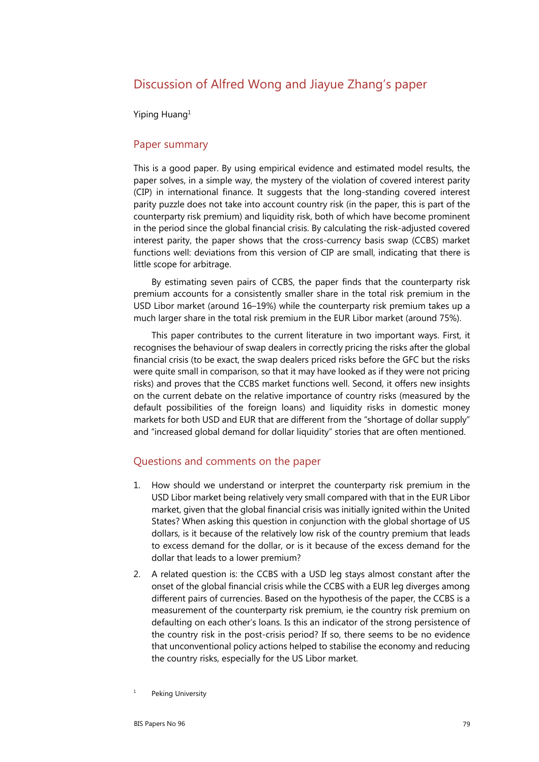## Discussion of Alfred Wong and Jiayue Zhang's paper

Yiping Huang1

## Paper summary

This is a good paper. By using empirical evidence and estimated model results, the paper solves, in a simple way, the mystery of the violation of covered interest parity (CIP) in international finance. It suggests that the long-standing covered interest parity puzzle does not take into account country risk (in the paper, this is part of the counterparty risk premium) and liquidity risk, both of which have become prominent in the period since the global financial crisis. By calculating the risk-adjusted covered interest parity, the paper shows that the cross-currency basis swap (CCBS) market functions well: deviations from this version of CIP are small, indicating that there is little scope for arbitrage.

By estimating seven pairs of CCBS, the paper finds that the counterparty risk premium accounts for a consistently smaller share in the total risk premium in the USD Libor market (around 16–19%) while the counterparty risk premium takes up a much larger share in the total risk premium in the EUR Libor market (around 75%).

This paper contributes to the current literature in two important ways. First, it recognises the behaviour of swap dealers in correctly pricing the risks after the global financial crisis (to be exact, the swap dealers priced risks before the GFC but the risks were quite small in comparison, so that it may have looked as if they were not pricing risks) and proves that the CCBS market functions well. Second, it offers new insights on the current debate on the relative importance of country risks (measured by the default possibilities of the foreign loans) and liquidity risks in domestic money markets for both USD and EUR that are different from the "shortage of dollar supply" and "increased global demand for dollar liquidity" stories that are often mentioned.

## Questions and comments on the paper

- 1. How should we understand or interpret the counterparty risk premium in the USD Libor market being relatively very small compared with that in the EUR Libor market, given that the global financial crisis was initially ignited within the United States? When asking this question in conjunction with the global shortage of US dollars, is it because of the relatively low risk of the country premium that leads to excess demand for the dollar, or is it because of the excess demand for the dollar that leads to a lower premium?
- 2. A related question is: the CCBS with a USD leg stays almost constant after the onset of the global financial crisis while the CCBS with a EUR leg diverges among different pairs of currencies. Based on the hypothesis of the paper, the CCBS is a measurement of the counterparty risk premium, ie the country risk premium on defaulting on each other's loans. Is this an indicator of the strong persistence of the country risk in the post-crisis period? If so, there seems to be no evidence that unconventional policy actions helped to stabilise the economy and reducing the country risks, especially for the US Libor market.

<sup>1</sup> Peking University